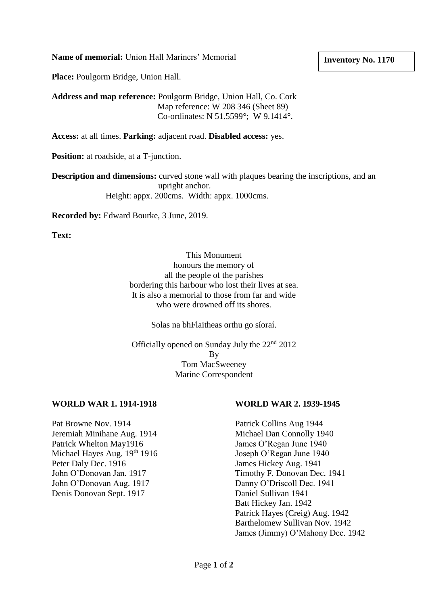**Name of memorial:** Union Hall Mariners' Memorial

## **Inventory No. 1170**

**Place:** Poulgorm Bridge, Union Hall.

**Address and map reference:** Poulgorm Bridge, Union Hall, Co. Cork Map reference: W 208 346 (Sheet 89) Co-ordinates: N 51.5599°; W 9.1414°.

**Access:** at all times. **Parking:** adjacent road. **Disabled access:** yes.

**Position:** at roadside, at a T-junction.

**Description and dimensions:** curved stone wall with plaques bearing the inscriptions, and an upright anchor. Height: appx. 200cms. Width: appx. 1000cms.

**Recorded by:** Edward Bourke, 3 June, 2019.

**Text:** 

This Monument honours the memory of all the people of the parishes bordering this harbour who lost their lives at sea. It is also a memorial to those from far and wide who were drowned off its shores.

Solas na bhFlaitheas orthu go síoraí.

Officially opened on Sunday July the  $22<sup>nd</sup> 2012$ By Tom MacSweeney Marine Correspondent

## **WORLD WAR 1. 1914-1918 WORLD WAR 2. 1939-1945**

Pat Browne Nov. 1914 Patrick Collins Aug 1944 Jeremiah Minihane Aug. 1914 Michael Dan Connolly 1940 Patrick Whelton May1916 James O'Regan June 1940 Michael Hayes Aug. 19<sup>th</sup> 1916 Joseph O'Regan June 1940 Peter Daly Dec. 1916 James Hickey Aug. 1941 John O'Donovan Aug. 1917 Danny O'Driscoll Dec. 1941 Denis Donovan Sept. 1917 Daniel Sullivan 1941

John O'Donovan Jan. 1917 Timothy F. Donovan Dec. 1941 Batt Hickey Jan. 1942 Patrick Hayes (Creig) Aug. 1942 Barthelomew Sullivan Nov. 1942 James (Jimmy) O'Mahony Dec. 1942